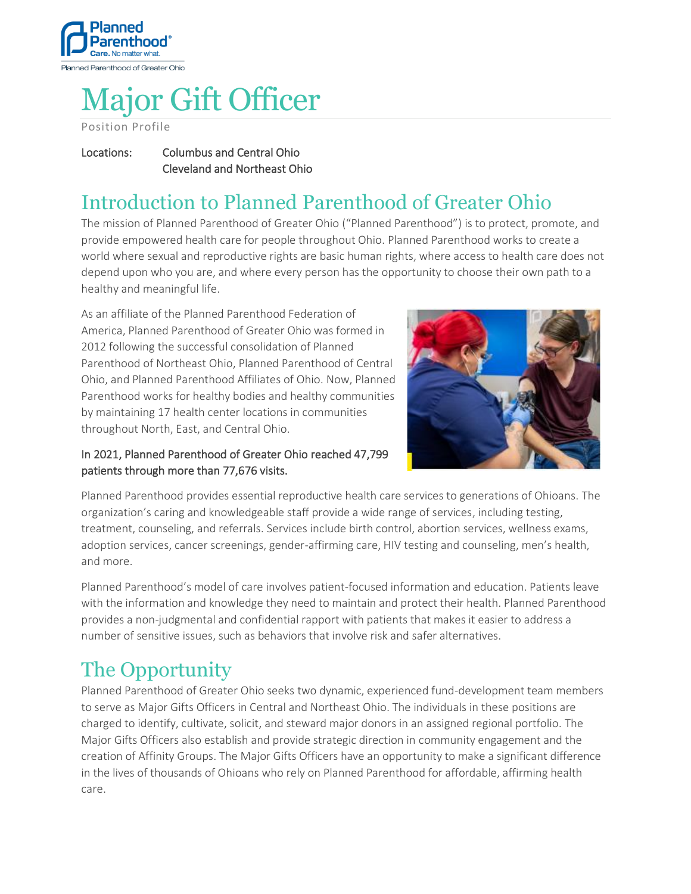

# Major Gift Officer

Position Profile

### Locations: Columbus and Central Ohio Cleveland and Northeast Ohio

# Introduction to Planned Parenthood of Greater Ohio

The mission of Planned Parenthood of Greater Ohio ("Planned Parenthood") is to protect, promote, and provide empowered health care for people throughout Ohio. Planned Parenthood works to create a world where sexual and reproductive rights are basic human rights, where access to health care does not depend upon who you are, and where every person has the opportunity to choose their own path to a healthy and meaningful life.

As an affiliate of the Planned Parenthood Federation of America, Planned Parenthood of Greater Ohio was formed in 2012 following the successful consolidation of Planned Parenthood of Northeast Ohio, Planned Parenthood of Central Ohio, and Planned Parenthood Affiliates of Ohio. Now, Planned Parenthood works for healthy bodies and healthy communities by maintaining 17 health center locations in communities throughout North, East, and Central Ohio.



## In 2021, Planned Parenthood of Greater Ohio reached 47,799 patients through more than 77,676 visits.

Planned Parenthood provides essential reproductive health care services to generations of Ohioans. The organization's caring and knowledgeable staff provide a wide range of services, including testing, treatment, counseling, and referrals. Services include birth control, abortion services, wellness exams, adoption services, cancer screenings, gender-affirming care, HIV testing and counseling, men's health, and more.

Planned Parenthood's model of care involves patient-focused information and education. Patients leave with the information and knowledge they need to maintain and protect their health. Planned Parenthood provides a non-judgmental and confidential rapport with patients that makes it easier to address a number of sensitive issues, such as behaviors that involve risk and safer alternatives.

# The Opportunity

Planned Parenthood of Greater Ohio seeks two dynamic, experienced fund-development team members to serve as Major Gifts Officers in Central and Northeast Ohio. The individuals in these positions are charged to identify, cultivate, solicit, and steward major donors in an assigned regional portfolio. The Major Gifts Officers also establish and provide strategic direction in community engagement and the creation of Affinity Groups. The Major Gifts Officers have an opportunity to make a significant difference in the lives of thousands of Ohioans who rely on Planned Parenthood for affordable, affirming health care.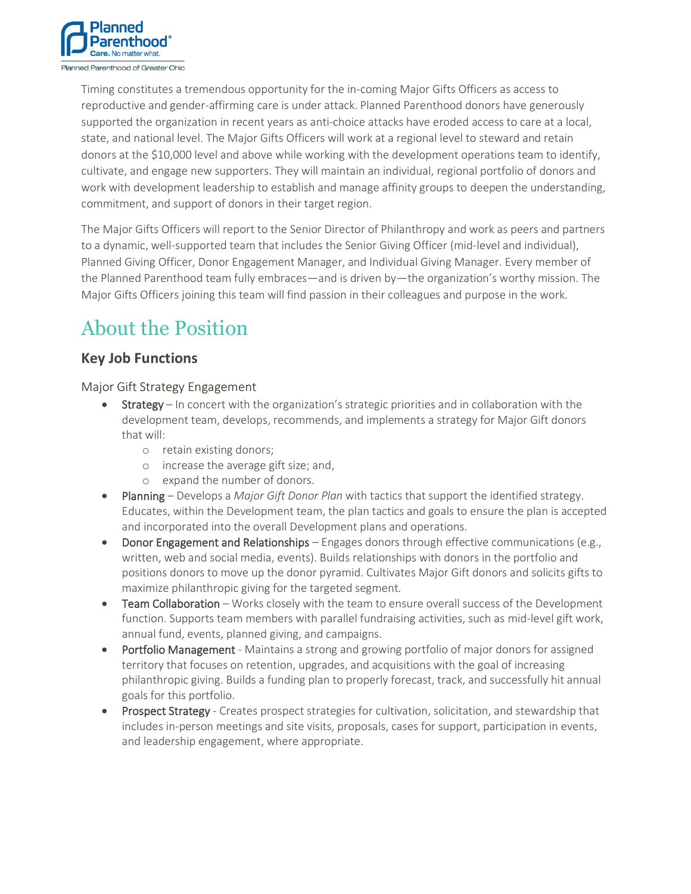

Timing constitutes a tremendous opportunity for the in-coming Major Gifts Officers as access to reproductive and gender-affirming care is under attack. Planned Parenthood donors have generously supported the organization in recent years as anti-choice attacks have eroded access to care at a local, state, and national level. The Major Gifts Officers will work at a regional level to steward and retain donors at the \$10,000 level and above while working with the development operations team to identify, cultivate, and engage new supporters. They will maintain an individual, regional portfolio of donors and work with development leadership to establish and manage affinity groups to deepen the understanding, commitment, and support of donors in their target region.

The Major Gifts Officers will report to the Senior Director of Philanthropy and work as peers and partners to a dynamic, well-supported team that includes the Senior Giving Officer (mid-level and individual), Planned Giving Officer, Donor Engagement Manager, and Individual Giving Manager. Every member of the Planned Parenthood team fully embraces—and is driven by—the organization's worthy mission. The Major Gifts Officers joining this team will find passion in their colleagues and purpose in the work.

# About the Position

# **Key Job Functions**

Major Gift Strategy Engagement

- Strategy In concert with the organization's strategic priorities and in collaboration with the development team, develops, recommends, and implements a strategy for Major Gift donors that will:
	- o retain existing donors;
	- o increase the average gift size; and,
	- o expand the number of donors.
- Planning Develops a *Major Gift Donor Plan* with tactics that support the identified strategy. Educates, within the Development team, the plan tactics and goals to ensure the plan is accepted and incorporated into the overall Development plans and operations.
- Donor Engagement and Relationships Engages donors through effective communications (e.g., written, web and social media, events). Builds relationships with donors in the portfolio and positions donors to move up the donor pyramid. Cultivates Major Gift donors and solicits gifts to maximize philanthropic giving for the targeted segment.
- Team Collaboration Works closely with the team to ensure overall success of the Development function. Supports team members with parallel fundraising activities, such as mid-level gift work, annual fund, events, planned giving, and campaigns.
- Portfolio Management Maintains a strong and growing portfolio of major donors for assigned territory that focuses on retention, upgrades, and acquisitions with the goal of increasing philanthropic giving. Builds a funding plan to properly forecast, track, and successfully hit annual goals for this portfolio.
- Prospect Strategy Creates prospect strategies for cultivation, solicitation, and stewardship that includes in-person meetings and site visits, proposals, cases for support, participation in events, and leadership engagement, where appropriate.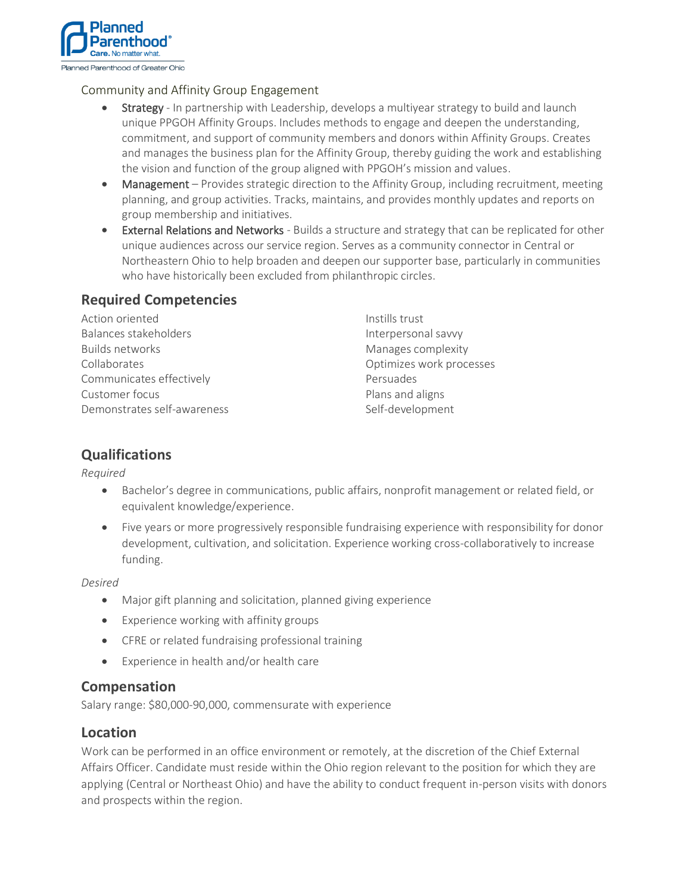

#### Community and Affinity Group Engagement

- Strategy In partnership with Leadership, develops a multiyear strategy to build and launch unique PPGOH Affinity Groups. Includes methods to engage and deepen the understanding, commitment, and support of community members and donors within Affinity Groups. Creates and manages the business plan for the Affinity Group, thereby guiding the work and establishing the vision and function of the group aligned with PPGOH's mission and values.
- Management Provides strategic direction to the Affinity Group, including recruitment, meeting planning, and group activities. Tracks, maintains, and provides monthly updates and reports on group membership and initiatives.
- External Relations and Networks Builds a structure and strategy that can be replicated for other unique audiences across our service region. Serves as a community connector in Central or Northeastern Ohio to help broaden and deepen our supporter base, particularly in communities who have historically been excluded from philanthropic circles.

## **Required Competencies**

| Instills trust           |
|--------------------------|
| Interpersonal savvy      |
| Manages complexity       |
| Optimizes work processes |
| Persuades                |
| Plans and aligns         |
| Self-development         |
|                          |

# **Qualifications**

#### *Required*

- Bachelor's degree in communications, public affairs, nonprofit management or related field, or equivalent knowledge/experience.
- Five years or more progressively responsible fundraising experience with responsibility for donor development, cultivation, and solicitation. Experience working cross-collaboratively to increase funding.

#### *Desired*

- Major gift planning and solicitation, planned giving experience
- Experience working with affinity groups
- CFRE or related fundraising professional training
- Experience in health and/or health care

### **Compensation**

Salary range: \$80,000-90,000, commensurate with experience

### **Location**

Work can be performed in an office environment or remotely, at the discretion of the Chief External Affairs Officer. Candidate must reside within the Ohio region relevant to the position for which they are applying (Central or Northeast Ohio) and have the ability to conduct frequent in-person visits with donors and prospects within the region.